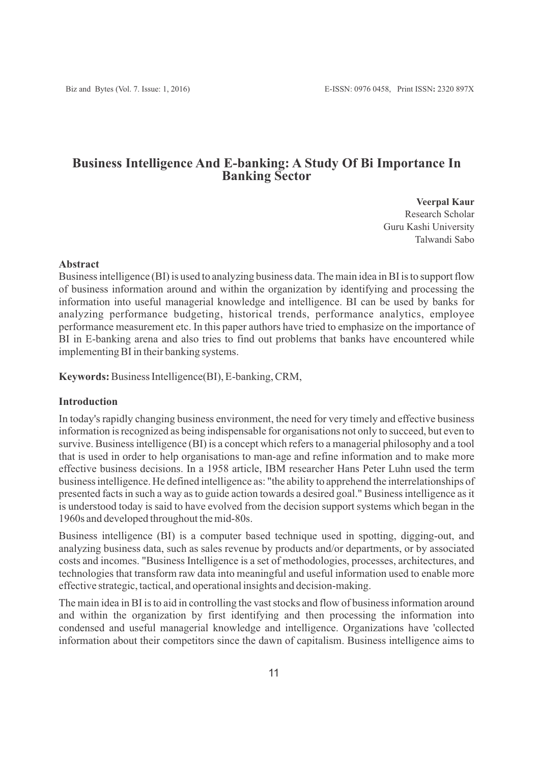# **Business Intelligence And E-banking: A Study Of Bi Importance In Banking Sector**

**Veerpal Kaur** Research Scholar Guru Kashi University Talwandi Sabo

#### **Abstract**

Business intelligence (BI) is used to analyzing business data. The main idea in BI is to support flow of business information around and within the organization by identifying and processing the information into useful managerial knowledge and intelligence. BI can be used by banks for analyzing performance budgeting, historical trends, performance analytics, employee performance measurement etc. In this paper authors have tried to emphasize on the importance of BI in E-banking arena and also tries to find out problems that banks have encountered while implementing BI in their banking systems.

**Keywords:**Business Intelligence(BI), E-banking, CRM,

# **Introduction**

In today's rapidly changing business environment, the need for very timely and effective business information is recognized as being indispensable for organisations not only to succeed, but even to survive. Business intelligence (BI) is a concept which refers to a managerial philosophy and a tool that is used in order to help organisations to man-age and refine information and to make more effective business decisions. In a 1958 article, IBM researcher Hans Peter Luhn used the term business intelligence. He defined intelligence as: "the ability to apprehend the interrelationships of presented facts in such a way as to guide action towards a desired goal." Business intelligence as it is understood today is said to have evolved from the decision support systems which began in the 1960s and developed throughout the mid-80s.

Business intelligence (BI) is a computer based technique used in spotting, digging-out, and analyzing business data, such as sales revenue by products and/or departments, or by associated costs and incomes. "Business Intelligence is a set of methodologies, processes, architectures, and technologies that transform raw data into meaningful and useful information used to enable more effective strategic, tactical, and operational insights and decision-making.

The main idea in BI is to aid in controlling the vast stocks and flow of business information around and within the organization by first identifying and then processing the information into condensed and useful managerial knowledge and intelligence. Organizations have 'collected information about their competitors since the dawn of capitalism. Business intelligence aims to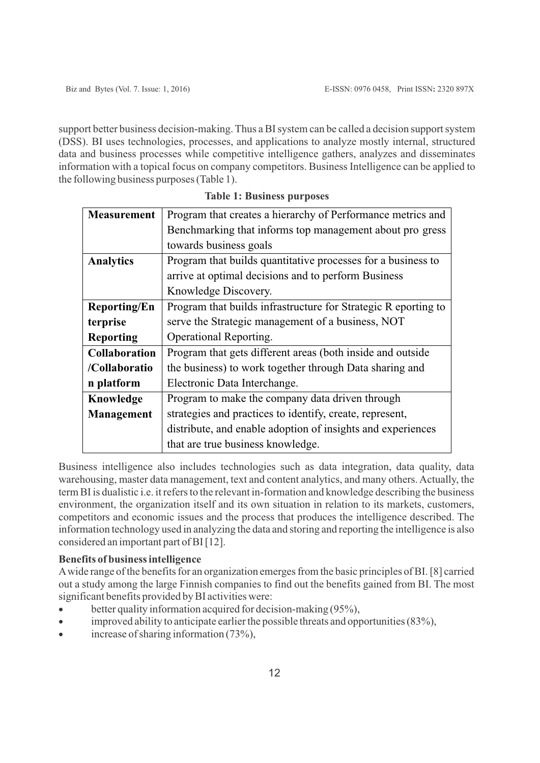support better business decision-making. Thus a BI system can be called a decision support system (DSS). BI uses technologies, processes, and applications to analyze mostly internal, structured data and business processes while competitive intelligence gathers, analyzes and disseminates information with a topical focus on company competitors. Business Intelligence can be applied to the following business purposes (Table 1).

| <b>Measurement</b>   | Program that creates a hierarchy of Performance metrics and    |
|----------------------|----------------------------------------------------------------|
|                      | Benchmarking that informs top management about pro gress       |
|                      | towards business goals                                         |
| <b>Analytics</b>     | Program that builds quantitative processes for a business to   |
|                      | arrive at optimal decisions and to perform Business            |
|                      | Knowledge Discovery.                                           |
| <b>Reporting/En</b>  | Program that builds infrastructure for Strategic R eporting to |
| terprise             | serve the Strategic management of a business, NOT              |
| <b>Reporting</b>     | Operational Reporting.                                         |
| <b>Collaboration</b> | Program that gets different areas (both inside and outside     |
| /Collaboratio        | the business) to work together through Data sharing and        |
| n platform           | Electronic Data Interchange.                                   |
| Knowledge            | Program to make the company data driven through                |
| Management           | strategies and practices to identify, create, represent,       |
|                      | distribute, and enable adoption of insights and experiences    |
|                      | that are true business knowledge.                              |

**Table 1: Business purposes**

Business intelligence also includes technologies such as data integration, data quality, data warehousing, master data management, text and content analytics, and many others. Actually, the term BI is dualistic i.e. it refers to the relevant in-formation and knowledge describing the business environment, the organization itself and its own situation in relation to its markets, customers, competitors and economic issues and the process that produces the intelligence described. The information technology used in analyzing the data and storing and reporting the intelligence is also considered an important part of BI [12].

# **Benefits of business intelligence**

Awide range of the benefits for an organization emerges from the basic principles of BI. [8] carried out a study among the large Finnish companies to find out the benefits gained from BI. The most significant benefits provided by BI activities were:

- better quality information acquired for decision-making (95%),
- improved ability to anticipate earlier the possible threats and opportunities  $(83\%)$ ,
- increase of sharing information  $(73\%)$ ,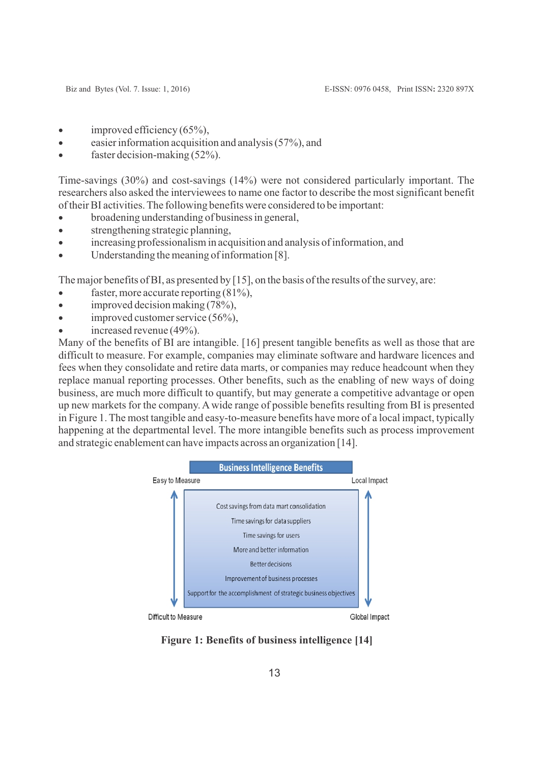- $\bullet$  improved efficiency (65%),
- easier information acquisition and analysis  $(57%)$ , and
- faster decision-making  $(52\%)$ .

Time-savings (30%) and cost-savings (14%) were not considered particularly important. The researchers also asked the interviewees to name one factor to describe the most significant benefit of their BI activities. The following benefits were considered to be important:

- broadening understanding of business in general,
- · strengthening strategic planning,
- · increasing professionalism in acquisition and analysis of information, and
- · Understanding the meaning of information [8].

The major benefits of BI, as presented by [15], on the basis of the results of the survey, are:

- faster, more accurate reporting  $(81\%)$ ,
- improved decision making  $(78\%)$ ,
- improved customer service  $(56\%)$ ,
- increased revenue  $(49\%)$ .

Many of the benefits of BI are intangible. [16] present tangible benefits as well as those that are difficult to measure. For example, companies may eliminate software and hardware licences and fees when they consolidate and retire data marts, or companies may reduce headcount when they replace manual reporting processes. Other benefits, such as the enabling of new ways of doing business, are much more difficult to quantify, but may generate a competitive advantage or open up new markets for the company. Awide range of possible benefits resulting from BI is presented in Figure 1. The most tangible and easy-to-measure benefits have more of a local impact, typically happening at the departmental level. The more intangible benefits such as process improvement and strategic enablement can have impacts across an organization [14].



**Figure 1: Benefits of business intelligence [14]**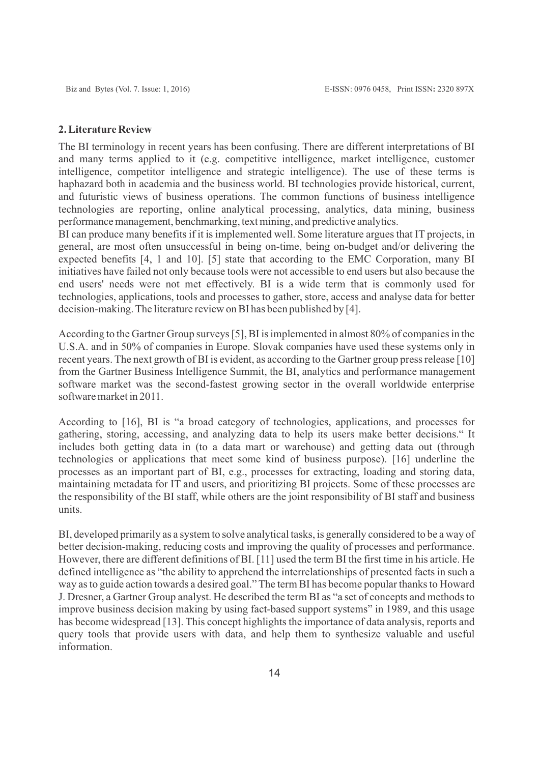#### **2. Literature Review**

The BI terminology in recent years has been confusing. There are different interpretations of BI and many terms applied to it (e.g. competitive intelligence, market intelligence, customer intelligence, competitor intelligence and strategic intelligence). The use of these terms is haphazard both in academia and the business world. BI technologies provide historical, current, and futuristic views of business operations. The common functions of business intelligence technologies are reporting, online analytical processing, analytics, data mining, business performance management, benchmarking, text mining, and predictive analytics.

BI can produce many benefits if it is implemented well. Some literature argues that IT projects, in general, are most often unsuccessful in being on-time, being on-budget and/or delivering the expected benefits [4, 1 and 10]. [5] state that according to the EMC Corporation, many BI initiatives have failed not only because tools were not accessible to end users but also because the end users' needs were not met effectively. BI is a wide term that is commonly used for technologies, applications, tools and processes to gather, store, access and analyse data for better decision-making. The literature review on BI has been published by [4].

According to the Gartner Group surveys [5], BI is implemented in almost 80% of companies in the U.S.A. and in 50% of companies in Europe. Slovak companies have used these systems only in recent years. The next growth of BI is evident, as according to the Gartner group press release [10] from the Gartner Business Intelligence Summit, the BI, analytics and performance management software market was the second-fastest growing sector in the overall worldwide enterprise software market in 2011.

According to [16], BI is "a broad category of technologies, applications, and processes for gathering, storing, accessing, and analyzing data to help its users make better decisions." It includes both getting data in (to a data mart or warehouse) and getting data out (through technologies or applications that meet some kind of business purpose). [16] underline the processes as an important part of BI, e.g., processes for extracting, loading and storing data, maintaining metadata for IT and users, and prioritizing BI projects. Some of these processes are the responsibility of the BI staff, while others are the joint responsibility of BI staff and business units.

BI, developed primarily as a system to solve analytical tasks, is generally considered to be a way of better decision-making, reducing costs and improving the quality of processes and performance. However, there are different definitions of BI. [11] used the term BI the first time in his article. He defined intelligence as "the ability to apprehend the interrelationships of presented facts in such a way as to guide action towards a desired goal." The term BI has become popular thanks to Howard J. Dresner, a Gartner Group analyst. He described the term BI as "a set of concepts and methods to improve business decision making by using fact-based support systems" in 1989, and this usage has become widespread [13]. This concept highlights the importance of data analysis, reports and query tools that provide users with data, and help them to synthesize valuable and useful information.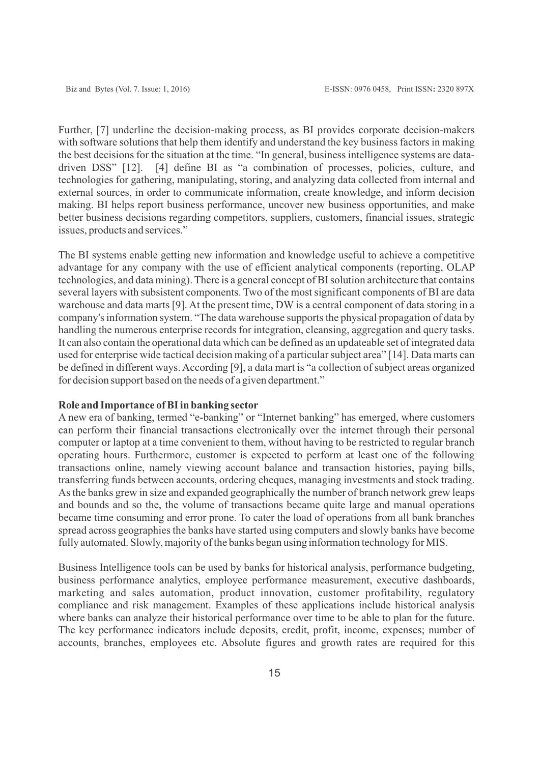Further, [7] underline the decision-making process, as BI provides corporate decision-makers with software solutions that help them identify and understand the key business factors in making the best decisions for the situation at the time. "In general, business intelligence systems are datadriven DSS" [12]. [4] define BI as "a combination of processes, policies, culture, and technologies for gathering, manipulating, storing, and analyzing data collected from internal and external sources, in order to communicate information, create knowledge, and inform decision making. BI helps report business performance, uncover new business opportunities, and make better business decisions regarding competitors, suppliers, customers, financial issues, strategic issues, products and services."

The BI systems enable getting new information and knowledge useful to achieve a competitive advantage for any company with the use of efficient analytical components (reporting, OLAP technologies, and data mining). There is a general concept of BI solution architecture that contains several layers with subsistent components. Two of the most significant components of BI are data warehouse and data marts [9]. At the present time, DW is a central component of data storing in a company's information system. "The data warehouse supports the physical propagation of data by handling the numerous enterprise records for integration, cleansing, aggregation and query tasks. It can also contain the operational data which can be defined as an updateable set of integrated data used for enterprise wide tactical decision making of a particular subject area" [14]. Data marts can be defined in different ways. According [9], a data mart is "a collection of subject areas organized for decision support based on the needs of a given department."

## **Role and Importance of BI in banking sector**

A new era of banking, termed "e-banking" or "Internet banking" has emerged, where customers can perform their financial transactions electronically over the internet through their personal computer or laptop at a time convenient to them, without having to be restricted to regular branch operating hours. Furthermore, customer is expected to perform at least one of the following transactions online, namely viewing account balance and transaction histories, paying bills, transferring funds between accounts, ordering cheques, managing investments and stock trading. As the banks grew in size and expanded geographically the number of branch network grew leaps and bounds and so the, the volume of transactions became quite large and manual operations became time consuming and error prone. To cater the load of operations from all bank branches spread across geographies the banks have started using computers and slowly banks have become fully automated. Slowly, majority of the banks began using information technology for MIS.

Business Intelligence tools can be used by banks for historical analysis, performance budgeting, business performance analytics, employee performance measurement, executive dashboards, marketing and sales automation, product innovation, customer profitability, regulatory compliance and risk management. Examples of these applications include historical analysis where banks can analyze their historical performance over time to be able to plan for the future. The key performance indicators include deposits, credit, profit, income, expenses; number of accounts, branches, employees etc. Absolute figures and growth rates are required for this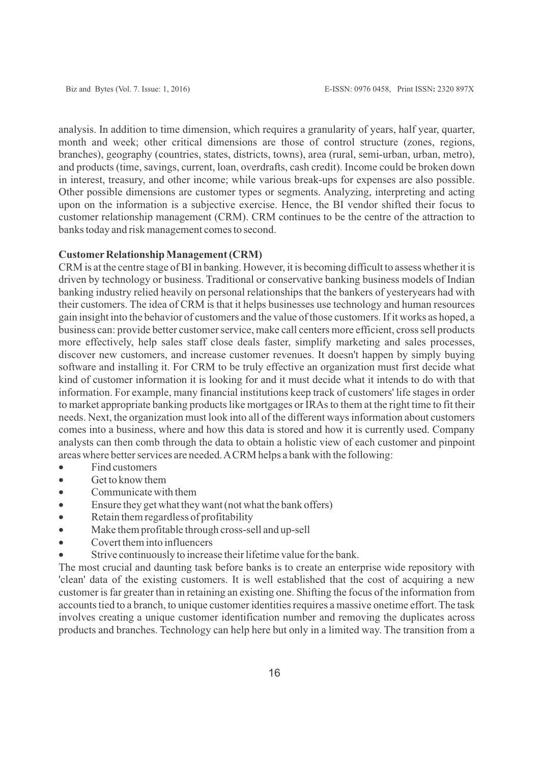analysis. In addition to time dimension, which requires a granularity of years, half year, quarter, month and week; other critical dimensions are those of control structure (zones, regions, branches), geography (countries, states, districts, towns), area (rural, semi-urban, urban, metro), and products (time, savings, current, loan, overdrafts, cash credit). Income could be broken down in interest, treasury, and other income; while various break-ups for expenses are also possible. Other possible dimensions are customer types or segments. Analyzing, interpreting and acting upon on the information is a subjective exercise. Hence, the BI vendor shifted their focus to customer relationship management (CRM). CRM continues to be the centre of the attraction to banks today and risk management comes to second.

# **Customer Relationship Management (CRM)**

CRM is at the centre stage of BI in banking. However, it is becoming difficult to assess whether it is driven by technology or business. Traditional or conservative banking business models of Indian banking industry relied heavily on personal relationships that the bankers of yesteryears had with their customers. The idea of CRM is that it helps businesses use technology and human resources gain insight into the behavior of customers and the value of those customers. If it works as hoped, a business can: provide better customer service, make call centers more efficient, cross sell products more effectively, help sales staff close deals faster, simplify marketing and sales processes, discover new customers, and increase customer revenues. It doesn't happen by simply buying software and installing it. For CRM to be truly effective an organization must first decide what kind of customer information it is looking for and it must decide what it intends to do with that information. For example, many financial institutions keep track of customers' life stages in order to market appropriate banking products like mortgages or IRAs to them at the right time to fit their needs. Next, the organization must look into all of the different ways information about customers comes into a business, where and how this data is stored and how it is currently used. Company analysts can then comb through the data to obtain a holistic view of each customer and pinpoint areas where better services are needed. ACRM helps a bank with the following:

- Find customers
- Get to know them
- Communicate with them
- · Ensure they get what they want (not what the bank offers)
- · Retain them regardless of profitability
- Make them profitable through cross-sell and up-sell
- Covert them into influencers
- Strive continuously to increase their lifetime value for the bank.

The most crucial and daunting task before banks is to create an enterprise wide repository with 'clean' data of the existing customers. It is well established that the cost of acquiring a new customer is far greater than in retaining an existing one. Shifting the focus of the information from accounts tied to a branch, to unique customer identities requires a massive onetime effort. The task involves creating a unique customer identification number and removing the duplicates across products and branches. Technology can help here but only in a limited way. The transition from a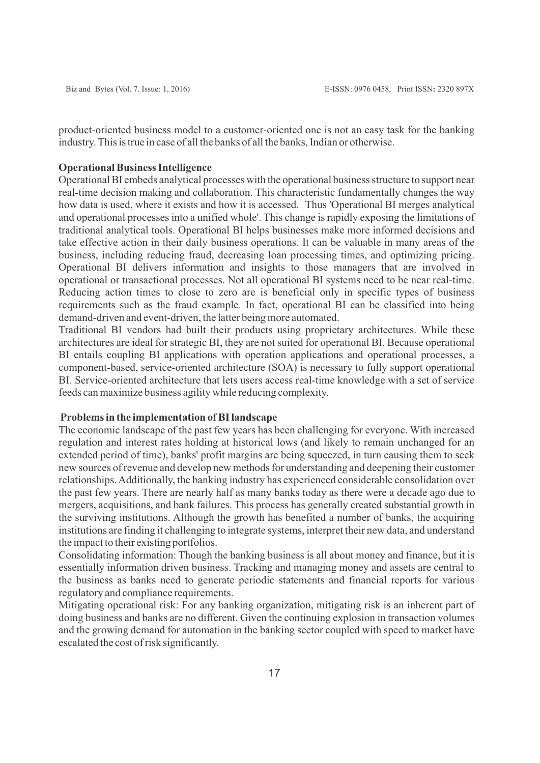product-oriented business model to a customer-oriented one is not an easy task for the banking industry. This is true in case of all the banks of all the banks, Indian or otherwise.

### **Operational Business Intelligence**

Operational BI embeds analytical processes with the operational business structure to support near real-time decision making and collaboration. This characteristic fundamentally changes the way how data is used, where it exists and how it is accessed. Thus 'Operational BI merges analytical and operational processes into a unified whole'. This change is rapidly exposing the limitations of traditional analytical tools. Operational BI helps businesses make more informed decisions and take effective action in their daily business operations. It can be valuable in many areas of the business, including reducing fraud, decreasing loan processing times, and optimizing pricing. Operational BI delivers information and insights to those managers that are involved in operational or transactional processes. Not all operational BI systems need to be near real-time. Reducing action times to close to zero are is beneficial only in specific types of business requirements such as the fraud example. In fact, operational BI can be classified into being demand-driven and event-driven, the latter being more automated.

Traditional BI vendors had built their products using proprietary architectures. While these architectures are ideal for strategic BI, they are not suited for operational BI. Because operational BI entails coupling BI applications with operation applications and operational processes, a component-based, service-oriented architecture (SOA) is necessary to fully support operational BI. Service-oriented architecture that lets users access real-time knowledge with a set of service feeds can maximize business agility while reducing complexity.

# **Problems in the implementation of BI landscape**

The economic landscape of the past few years has been challenging for everyone. With increased regulation and interest rates holding at historical lows (and likely to remain unchanged for an extended period of time), banks' profit margins are being squeezed, in turn causing them to seek new sources of revenue and develop new methods for understanding and deepening their customer relationships. Additionally, the banking industry has experienced considerable consolidation over the past few years. There are nearly half as many banks today as there were a decade ago due to mergers, acquisitions, and bank failures. This process has generally created substantial growth in the surviving institutions. Although the growth has benefited a number of banks, the acquiring institutions are finding it challenging to integrate systems, interpret their new data, and understand the impact to their existing portfolios.

Consolidating information: Though the banking business is all about money and finance, but it is essentially information driven business. Tracking and managing money and assets are central to the business as banks need to generate periodic statements and financial reports for various regulatory and compliance requirements.

Mitigating operational risk: For any banking organization, mitigating risk is an inherent part of doing business and banks are no different. Given the continuing explosion in transaction volumes and the growing demand for automation in the banking sector coupled with speed to market have escalated the cost of risk significantly.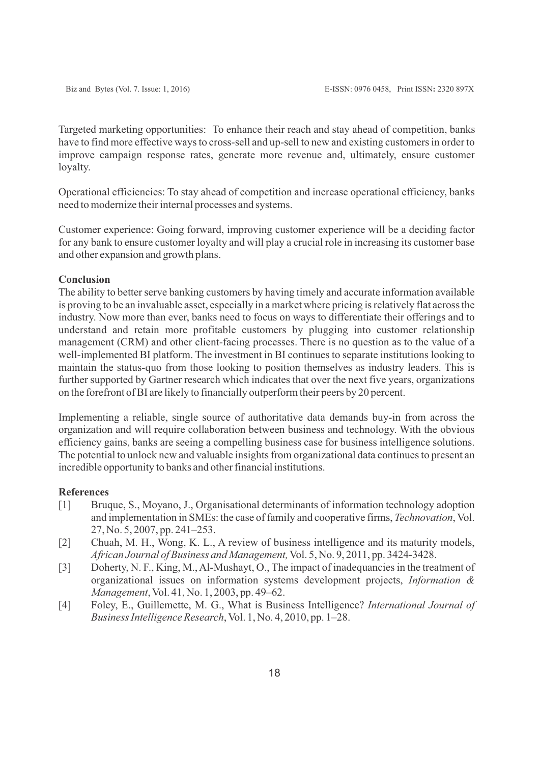Targeted marketing opportunities: To enhance their reach and stay ahead of competition, banks have to find more effective ways to cross-sell and up-sell to new and existing customers in order to improve campaign response rates, generate more revenue and, ultimately, ensure customer loyalty.

Operational efficiencies: To stay ahead of competition and increase operational efficiency, banks need to modernize their internal processes and systems.

Customer experience: Going forward, improving customer experience will be a deciding factor for any bank to ensure customer loyalty and will play a crucial role in increasing its customer base and other expansion and growth plans.

# **Conclusion**

The ability to better serve banking customers by having timely and accurate information available is proving to be an invaluable asset, especially in a market where pricing is relatively flat across the industry. Now more than ever, banks need to focus on ways to differentiate their offerings and to understand and retain more profitable customers by plugging into customer relationship management (CRM) and other client-facing processes. There is no question as to the value of a well-implemented BI platform. The investment in BI continues to separate institutions looking to maintain the status-quo from those looking to position themselves as industry leaders. This is further supported by Gartner research which indicates that over the next five years, organizations on the forefront of BI are likely to financially outperform their peers by 20 percent.

Implementing a reliable, single source of authoritative data demands buy-in from across the organization and will require collaboration between business and technology. With the obvious efficiency gains, banks are seeing a compelling business case for business intelligence solutions. The potential to unlock new and valuable insights from organizational data continues to present an incredible opportunity to banks and other financial institutions.

### **References**

- [1] Bruque, S., Moyano, J., Organisational determinants of information technology adoption and implementation in SMEs: the case of family and cooperative firms, *Technovation*, Vol. 27, No. 5, 2007, pp. 241–253.
- [2] Chuah, M. H., Wong, K. L., A review of business intelligence and its maturity models, *African Journal of Business and Management,*Vol. 5, No. 9, 2011, pp. 3424-3428.
- [3] Doherty, N. F., King, M., Al-Mushayt, O., The impact of inadequancies in the treatment of organizational issues on information systems development projects, *Information & Management*, Vol. 41, No. 1, 2003, pp. 49–62.
- [4] Foley, E., Guillemette, M. G., What is Business Intelligence? *International Journal of BusinessIntelligence Research*, Vol. 1, No. 4, 2010, pp. 1–28.